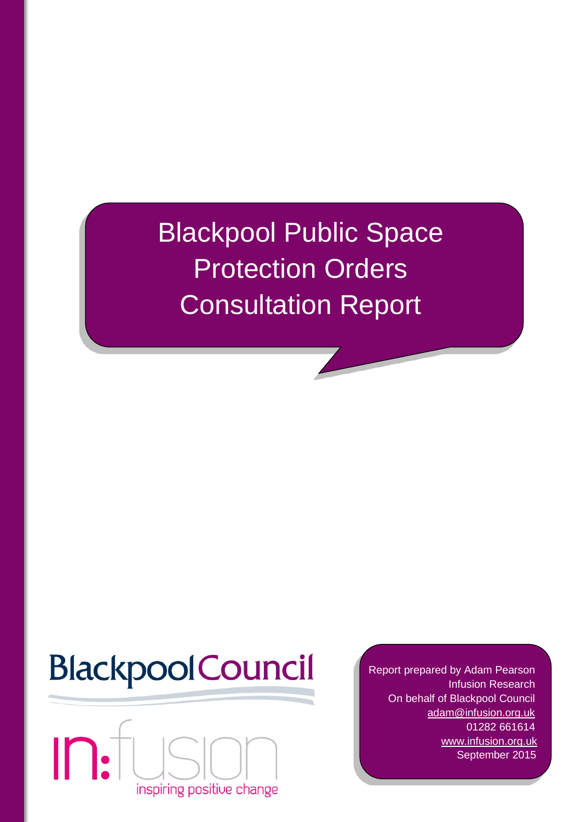Blackpool Public Space Protection Orders Consultation Report

# **BlackpoolCouncil**



Report prepared by Adam Pearson Infusion Research On behalf of Blackpool Council [adam@infusion.org.uk](mailto:adam@infusion.org.uk) 01282 661614 [www.infusion.org.uk](http://www.infusion.org.uk/) September 2015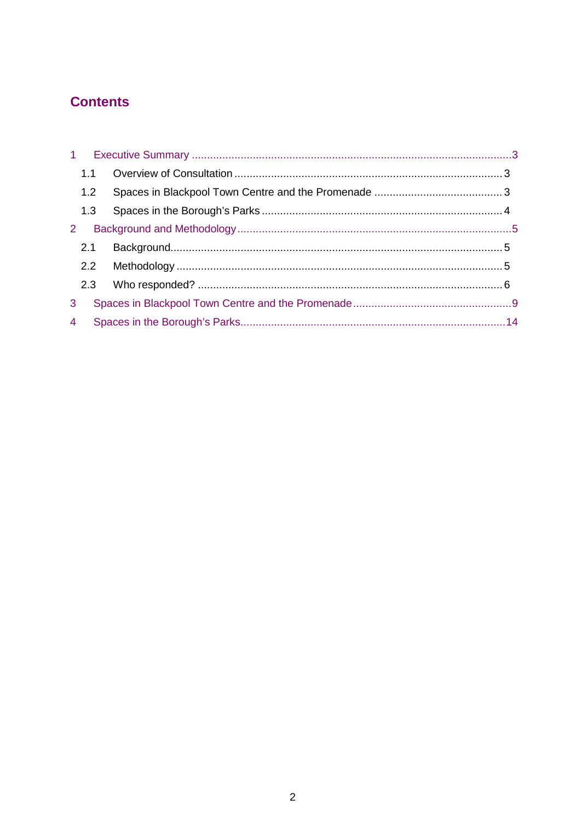# **Contents**

|                | 1.1 |  |
|----------------|-----|--|
|                | 1.2 |  |
|                | 1.3 |  |
| 2              |     |  |
|                | 2.1 |  |
|                | 2.2 |  |
|                | 2.3 |  |
| 3              |     |  |
| $\overline{4}$ |     |  |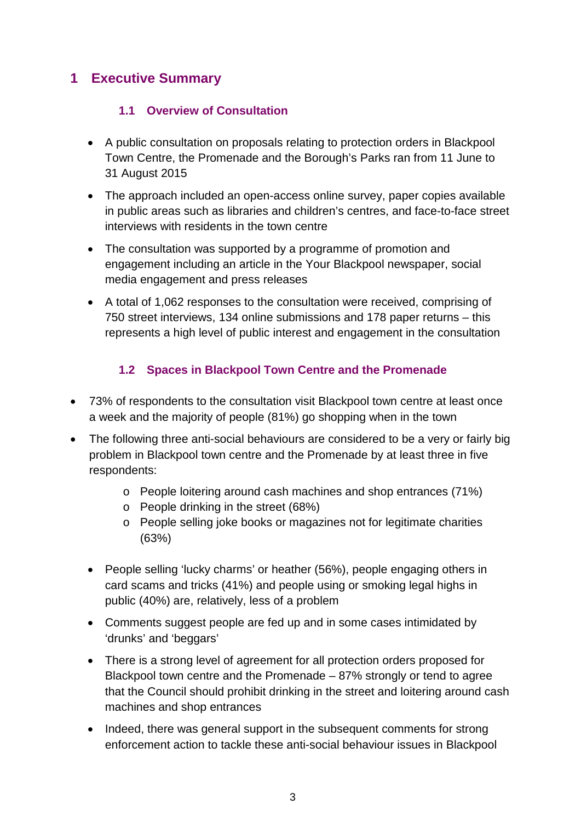## <span id="page-2-1"></span><span id="page-2-0"></span>**1 Executive Summary**

#### **1.1 Overview of Consultation**

- A public consultation on proposals relating to protection orders in Blackpool Town Centre, the Promenade and the Borough's Parks ran from 11 June to 31 August 2015
- The approach included an open-access online survey, paper copies available in public areas such as libraries and children's centres, and face-to-face street interviews with residents in the town centre
- The consultation was supported by a programme of promotion and engagement including an article in the Your Blackpool newspaper, social media engagement and press releases
- A total of 1,062 responses to the consultation were received, comprising of 750 street interviews, 134 online submissions and 178 paper returns – this represents a high level of public interest and engagement in the consultation

#### **1.2 Spaces in Blackpool Town Centre and the Promenade**

- <span id="page-2-2"></span>• 73% of respondents to the consultation visit Blackpool town centre at least once a week and the majority of people (81%) go shopping when in the town
- The following three anti-social behaviours are considered to be a very or fairly big problem in Blackpool town centre and the Promenade by at least three in five respondents:
	- o People loitering around cash machines and shop entrances (71%)
	- o People drinking in the street (68%)
	- o People selling joke books or magazines not for legitimate charities (63%)
	- People selling 'lucky charms' or heather (56%), people engaging others in card scams and tricks (41%) and people using or smoking legal highs in public (40%) are, relatively, less of a problem
	- Comments suggest people are fed up and in some cases intimidated by 'drunks' and 'beggars'
	- There is a strong level of agreement for all protection orders proposed for Blackpool town centre and the Promenade – 87% strongly or tend to agree that the Council should prohibit drinking in the street and loitering around cash machines and shop entrances
	- Indeed, there was general support in the subsequent comments for strong enforcement action to tackle these anti-social behaviour issues in Blackpool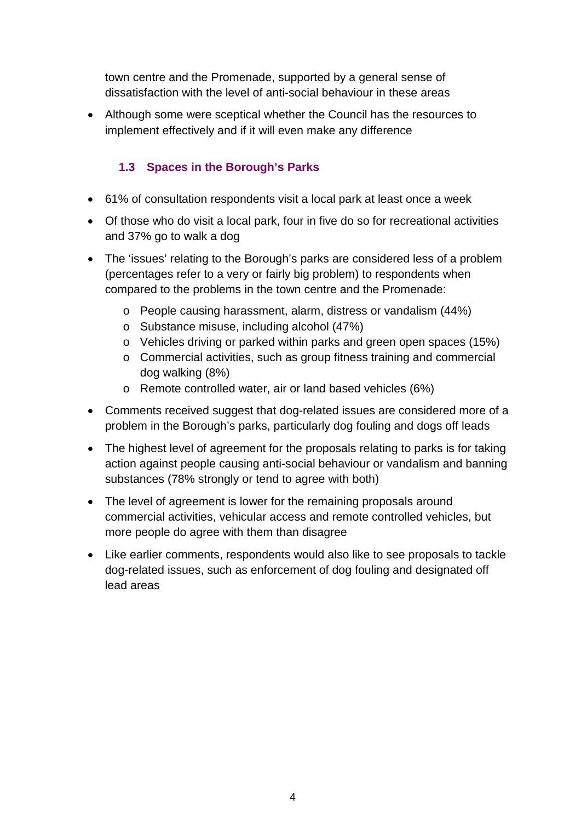town centre and the Promenade, supported by a general sense of dissatisfaction with the level of anti-social behaviour in these areas

• Although some were sceptical whether the Council has the resources to implement effectively and if it will even make any difference

#### **1.3 Spaces in the Borough's Parks**

- <span id="page-3-0"></span>• 61% of consultation respondents visit a local park at least once a week
- Of those who do visit a local park, four in five do so for recreational activities and 37% go to walk a dog
- The 'issues' relating to the Borough's parks are considered less of a problem (percentages refer to a very or fairly big problem) to respondents when compared to the problems in the town centre and the Promenade:
	- o People causing harassment, alarm, distress or vandalism (44%)
	- o Substance misuse, including alcohol (47%)
	- o Vehicles driving or parked within parks and green open spaces (15%)
	- o Commercial activities, such as group fitness training and commercial dog walking (8%)
	- o Remote controlled water, air or land based vehicles (6%)
- Comments received suggest that dog-related issues are considered more of a problem in the Borough's parks, particularly dog fouling and dogs off leads
- The highest level of agreement for the proposals relating to parks is for taking action against people causing anti-social behaviour or vandalism and banning substances (78% strongly or tend to agree with both)
- The level of agreement is lower for the remaining proposals around commercial activities, vehicular access and remote controlled vehicles, but more people do agree with them than disagree
- Like earlier comments, respondents would also like to see proposals to tackle dog-related issues, such as enforcement of dog fouling and designated off lead areas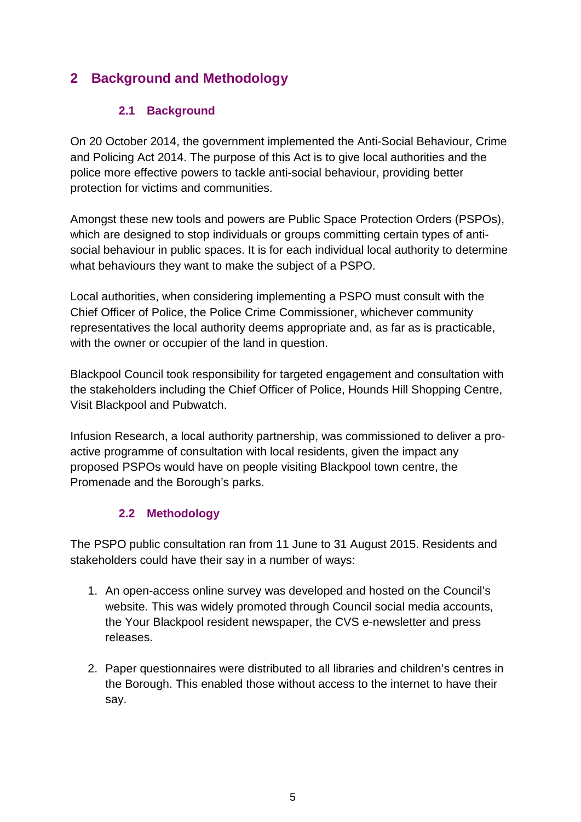# <span id="page-4-0"></span>**2 Background and Methodology**

#### **2.1 Background**

<span id="page-4-1"></span>On 20 October 2014, the government implemented the Anti-Social Behaviour, Crime and Policing Act 2014. The purpose of this Act is to give local authorities and the police more effective powers to tackle anti-social behaviour, providing better protection for victims and communities.

Amongst these new tools and powers are Public Space Protection Orders (PSPOs), which are designed to stop individuals or groups committing certain types of antisocial behaviour in public spaces. It is for each individual local authority to determine what behaviours they want to make the subject of a PSPO.

Local authorities, when considering implementing a PSPO must consult with the Chief Officer of Police, the Police Crime Commissioner, whichever community representatives the local authority deems appropriate and, as far as is practicable, with the owner or occupier of the land in question.

Blackpool Council took responsibility for targeted engagement and consultation with the stakeholders including the Chief Officer of Police, Hounds Hill Shopping Centre, Visit Blackpool and Pubwatch.

Infusion Research, a local authority partnership, was commissioned to deliver a proactive programme of consultation with local residents, given the impact any proposed PSPOs would have on people visiting Blackpool town centre, the Promenade and the Borough's parks.

#### **2.2 Methodology**

<span id="page-4-2"></span>The PSPO public consultation ran from 11 June to 31 August 2015. Residents and stakeholders could have their say in a number of ways:

- 1. An open-access online survey was developed and hosted on the Council's website. This was widely promoted through Council social media accounts, the Your Blackpool resident newspaper, the CVS e-newsletter and press releases.
- 2. Paper questionnaires were distributed to all libraries and children's centres in the Borough. This enabled those without access to the internet to have their say.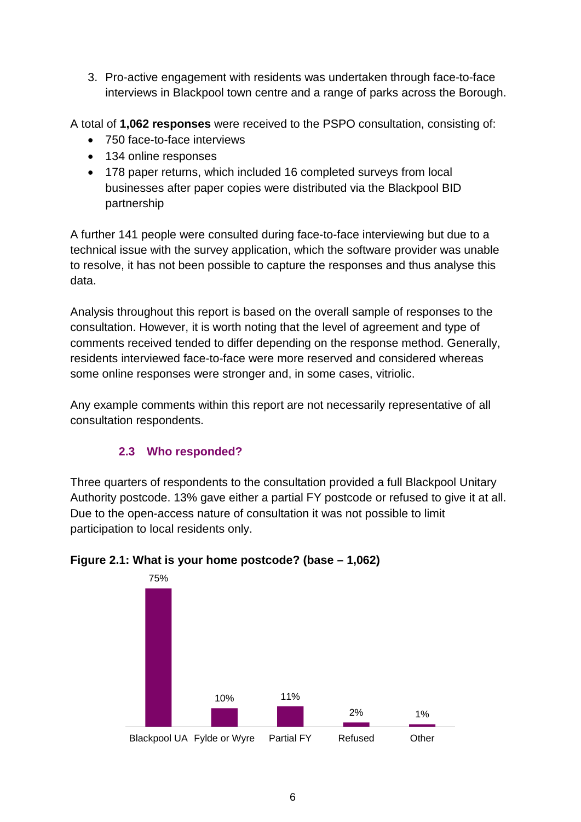3. Pro-active engagement with residents was undertaken through face-to-face interviews in Blackpool town centre and a range of parks across the Borough.

A total of **1,062 responses** were received to the PSPO consultation, consisting of:

- 750 face-to-face interviews
- 134 online responses
- 178 paper returns, which included 16 completed surveys from local businesses after paper copies were distributed via the Blackpool BID partnership

A further 141 people were consulted during face-to-face interviewing but due to a technical issue with the survey application, which the software provider was unable to resolve, it has not been possible to capture the responses and thus analyse this data.

Analysis throughout this report is based on the overall sample of responses to the consultation. However, it is worth noting that the level of agreement and type of comments received tended to differ depending on the response method. Generally, residents interviewed face-to-face were more reserved and considered whereas some online responses were stronger and, in some cases, vitriolic.

Any example comments within this report are not necessarily representative of all consultation respondents.

#### **2.3 Who responded?**

<span id="page-5-0"></span>Three quarters of respondents to the consultation provided a full Blackpool Unitary Authority postcode. 13% gave either a partial FY postcode or refused to give it at all. Due to the open-access nature of consultation it was not possible to limit participation to local residents only.



#### **Figure 2.1: What is your home postcode? (base – 1,062)**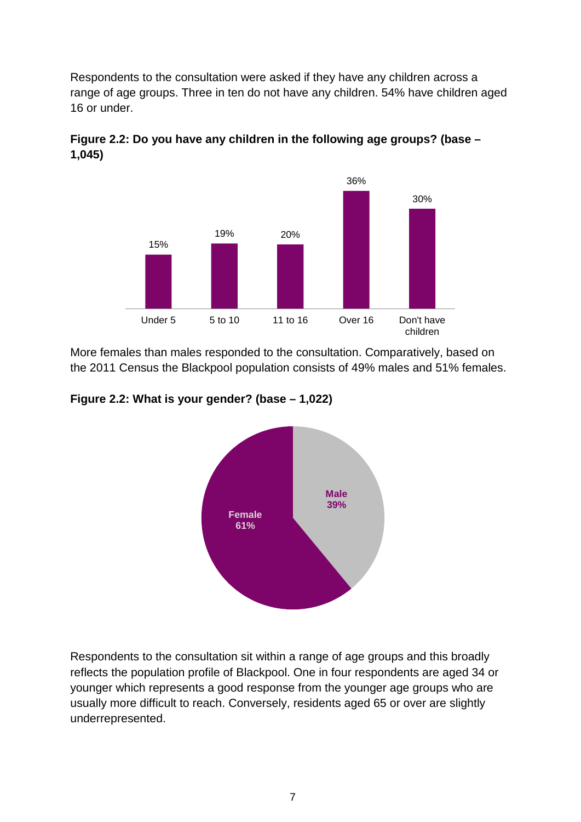Respondents to the consultation were asked if they have any children across a range of age groups. Three in ten do not have any children. 54% have children aged 16 or under.



**Figure 2.2: Do you have any children in the following age groups? (base – 1,045)**

More females than males responded to the consultation. Comparatively, based on the 2011 Census the Blackpool population consists of 49% males and 51% females.

**Figure 2.2: What is your gender? (base – 1,022)**



Respondents to the consultation sit within a range of age groups and this broadly reflects the population profile of Blackpool. One in four respondents are aged 34 or younger which represents a good response from the younger age groups who are usually more difficult to reach. Conversely, residents aged 65 or over are slightly underrepresented.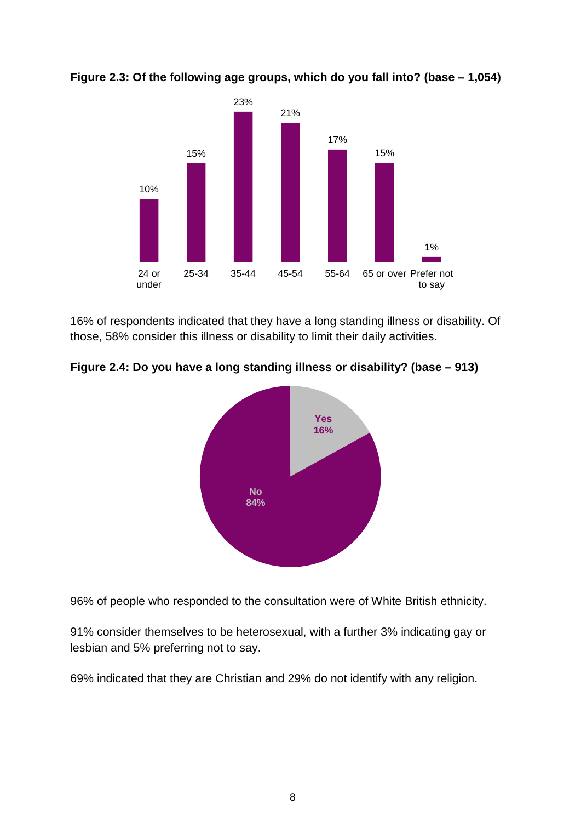

**Figure 2.3: Of the following age groups, which do you fall into? (base – 1,054)**

16% of respondents indicated that they have a long standing illness or disability. Of those, 58% consider this illness or disability to limit their daily activities.

**Figure 2.4: Do you have a long standing illness or disability? (base – 913)**



96% of people who responded to the consultation were of White British ethnicity.

91% consider themselves to be heterosexual, with a further 3% indicating gay or lesbian and 5% preferring not to say.

69% indicated that they are Christian and 29% do not identify with any religion.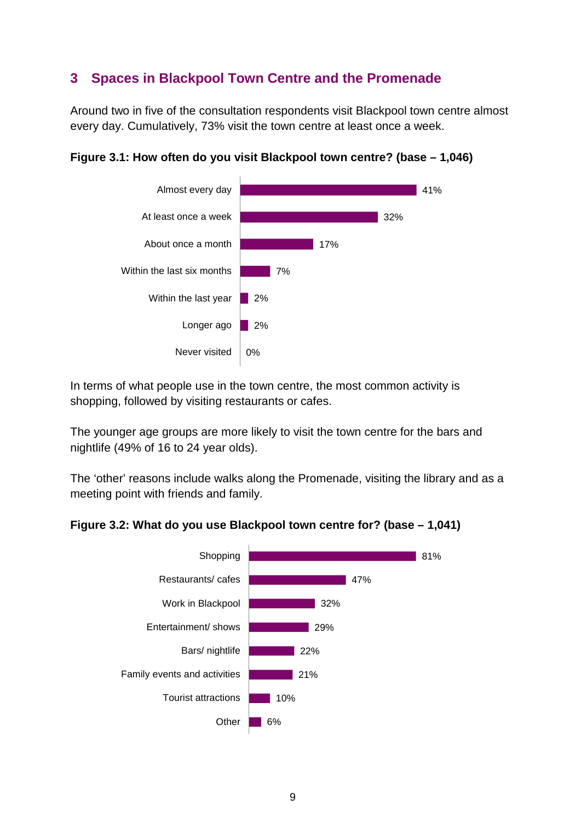### <span id="page-8-0"></span>**3 Spaces in Blackpool Town Centre and the Promenade**

Around two in five of the consultation respondents visit Blackpool town centre almost every day. Cumulatively, 73% visit the town centre at least once a week.



#### **Figure 3.1: How often do you visit Blackpool town centre? (base – 1,046)**

In terms of what people use in the town centre, the most common activity is shopping, followed by visiting restaurants or cafes.

The younger age groups are more likely to visit the town centre for the bars and nightlife (49% of 16 to 24 year olds).

The 'other' reasons include walks along the Promenade, visiting the library and as a meeting point with friends and family.

#### **Figure 3.2: What do you use Blackpool town centre for? (base – 1,041)**

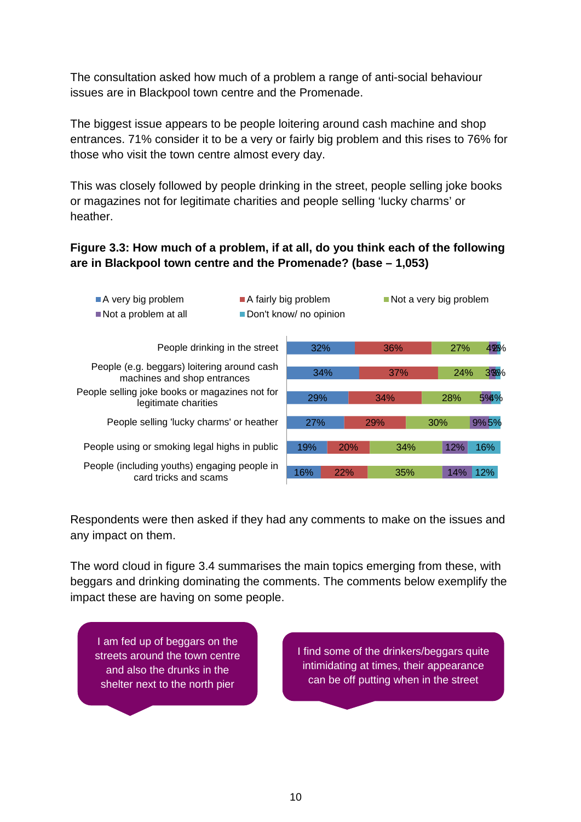The consultation asked how much of a problem a range of anti-social behaviour issues are in Blackpool town centre and the Promenade.

The biggest issue appears to be people loitering around cash machine and shop entrances. 71% consider it to be a very or fairly big problem and this rises to 76% for those who visit the town centre almost every day.

This was closely followed by people drinking in the street, people selling joke books or magazines not for legitimate charities and people selling 'lucky charms' or heather.

#### **Figure 3.3: How much of a problem, if at all, do you think each of the following are in Blackpool town centre and the Promenade? (base – 1,053)**



Respondents were then asked if they had any comments to make on the issues and any impact on them.

The word cloud in figure 3.4 summarises the main topics emerging from these, with beggars and drinking dominating the comments. The comments below exemplify the impact these are having on some people.

I am fed up of beggars on the streets around the town centre and also the drunks in the shelter next to the north pier

I find some of the drinkers/beggars quite intimidating at times, their appearance can be off putting when in the street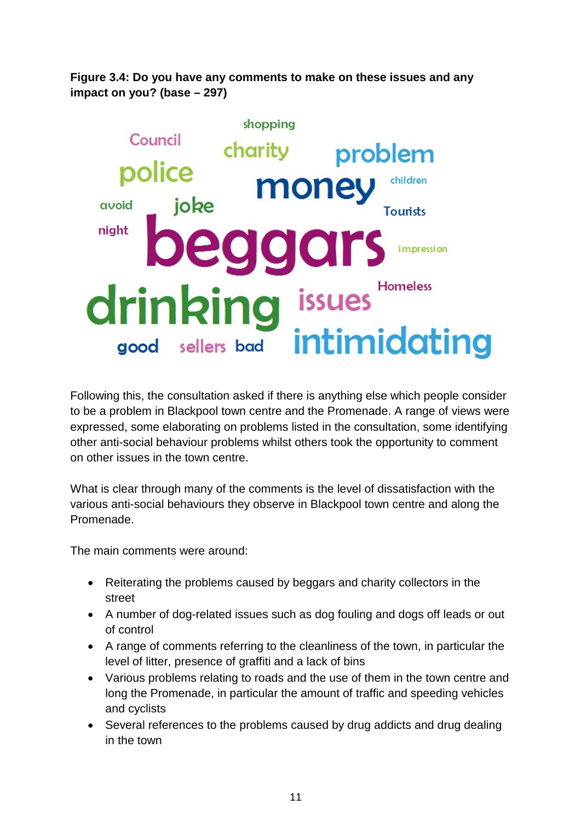**Figure 3.4: Do you have any comments to make on these issues and any impact on you? (base – 297)**



Following this, the consultation asked if there is anything else which people consider to be a problem in Blackpool town centre and the Promenade. A range of views were expressed, some elaborating on problems listed in the consultation, some identifying other anti-social behaviour problems whilst others took the opportunity to comment on other issues in the town centre.

What is clear through many of the comments is the level of dissatisfaction with the various anti-social behaviours they observe in Blackpool town centre and along the Promenade.

The main comments were around:

- Reiterating the problems caused by beggars and charity collectors in the street
- A number of dog-related issues such as dog fouling and dogs off leads or out of control
- A range of comments referring to the cleanliness of the town, in particular the level of litter, presence of graffiti and a lack of bins
- Various problems relating to roads and the use of them in the town centre and long the Promenade, in particular the amount of traffic and speeding vehicles and cyclists
- Several references to the problems caused by drug addicts and drug dealing in the town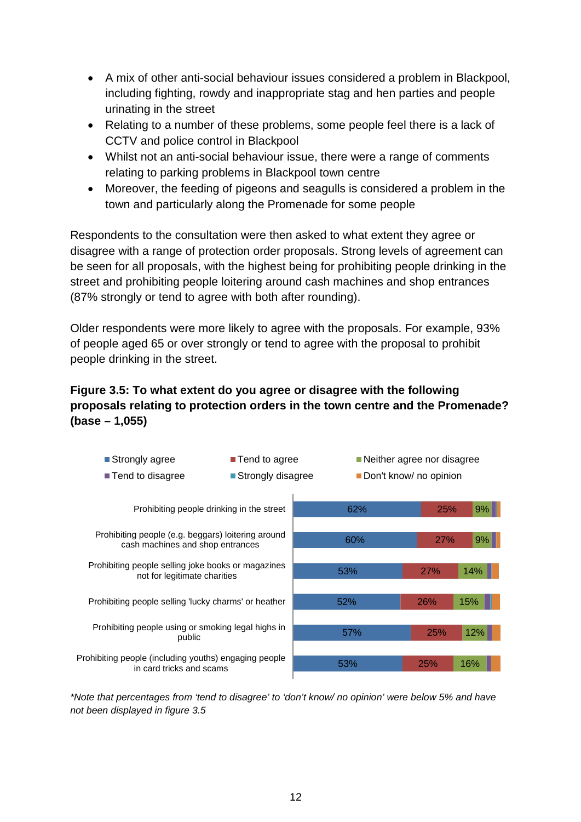- A mix of other anti-social behaviour issues considered a problem in Blackpool, including fighting, rowdy and inappropriate stag and hen parties and people urinating in the street
- Relating to a number of these problems, some people feel there is a lack of CCTV and police control in Blackpool
- Whilst not an anti-social behaviour issue, there were a range of comments relating to parking problems in Blackpool town centre
- Moreover, the feeding of pigeons and seagulls is considered a problem in the town and particularly along the Promenade for some people

Respondents to the consultation were then asked to what extent they agree or disagree with a range of protection order proposals. Strong levels of agreement can be seen for all proposals, with the highest being for prohibiting people drinking in the street and prohibiting people loitering around cash machines and shop entrances (87% strongly or tend to agree with both after rounding).

Older respondents were more likely to agree with the proposals. For example, 93% of people aged 65 or over strongly or tend to agree with the proposal to prohibit people drinking in the street.

#### **Figure 3.5: To what extent do you agree or disagree with the following proposals relating to protection orders in the town centre and the Promenade? (base – 1,055)**



*\*Note that percentages from 'tend to disagree' to 'don't know/ no opinion' were below 5% and have not been displayed in figure 3.5*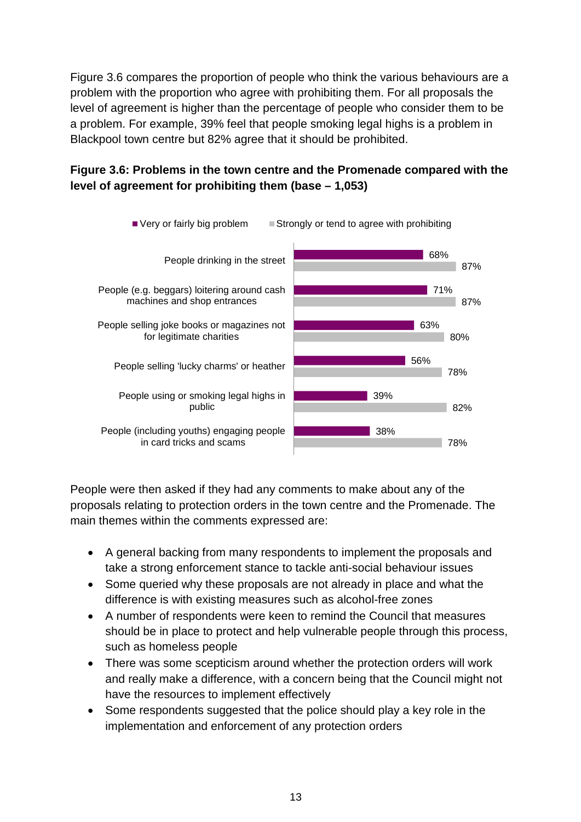Figure 3.6 compares the proportion of people who think the various behaviours are a problem with the proportion who agree with prohibiting them. For all proposals the level of agreement is higher than the percentage of people who consider them to be a problem. For example, 39% feel that people smoking legal highs is a problem in Blackpool town centre but 82% agree that it should be prohibited.

#### **Figure 3.6: Problems in the town centre and the Promenade compared with the level of agreement for prohibiting them (base – 1,053)**



People were then asked if they had any comments to make about any of the proposals relating to protection orders in the town centre and the Promenade. The main themes within the comments expressed are:

- A general backing from many respondents to implement the proposals and take a strong enforcement stance to tackle anti-social behaviour issues
- Some queried why these proposals are not already in place and what the difference is with existing measures such as alcohol-free zones
- A number of respondents were keen to remind the Council that measures should be in place to protect and help vulnerable people through this process, such as homeless people
- There was some scepticism around whether the protection orders will work and really make a difference, with a concern being that the Council might not have the resources to implement effectively
- Some respondents suggested that the police should play a key role in the implementation and enforcement of any protection orders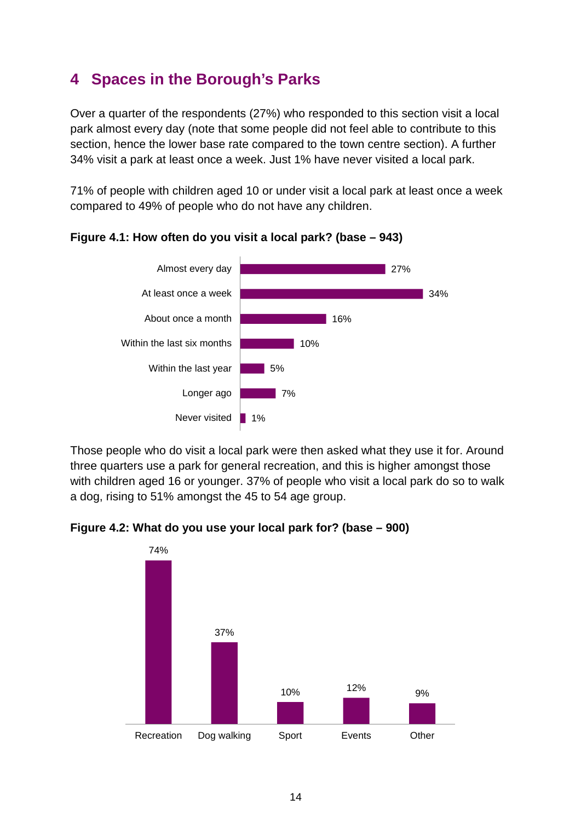# <span id="page-13-0"></span>**4 Spaces in the Borough's Parks**

Over a quarter of the respondents (27%) who responded to this section visit a local park almost every day (note that some people did not feel able to contribute to this section, hence the lower base rate compared to the town centre section). A further 34% visit a park at least once a week. Just 1% have never visited a local park.

71% of people with children aged 10 or under visit a local park at least once a week compared to 49% of people who do not have any children.



**Figure 4.1: How often do you visit a local park? (base – 943)**

Those people who do visit a local park were then asked what they use it for. Around three quarters use a park for general recreation, and this is higher amongst those with children aged 16 or younger. 37% of people who visit a local park do so to walk a dog, rising to 51% amongst the 45 to 54 age group.

**Figure 4.2: What do you use your local park for? (base – 900)**

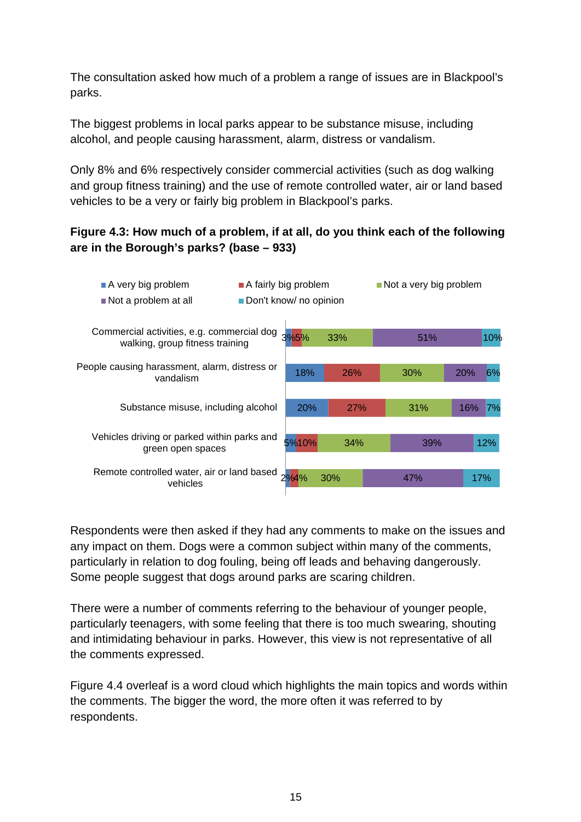The consultation asked how much of a problem a range of issues are in Blackpool's parks.

The biggest problems in local parks appear to be substance misuse, including alcohol, and people causing harassment, alarm, distress or vandalism.

Only 8% and 6% respectively consider commercial activities (such as dog walking and group fitness training) and the use of remote controlled water, air or land based vehicles to be a very or fairly big problem in Blackpool's parks.

#### **Figure 4.3: How much of a problem, if at all, do you think each of the following are in the Borough's parks? (base – 933)**



Respondents were then asked if they had any comments to make on the issues and any impact on them. Dogs were a common subject within many of the comments, particularly in relation to dog fouling, being off leads and behaving dangerously. Some people suggest that dogs around parks are scaring children.

There were a number of comments referring to the behaviour of younger people, particularly teenagers, with some feeling that there is too much swearing, shouting and intimidating behaviour in parks. However, this view is not representative of all the comments expressed.

Figure 4.4 overleaf is a word cloud which highlights the main topics and words within the comments. The bigger the word, the more often it was referred to by respondents.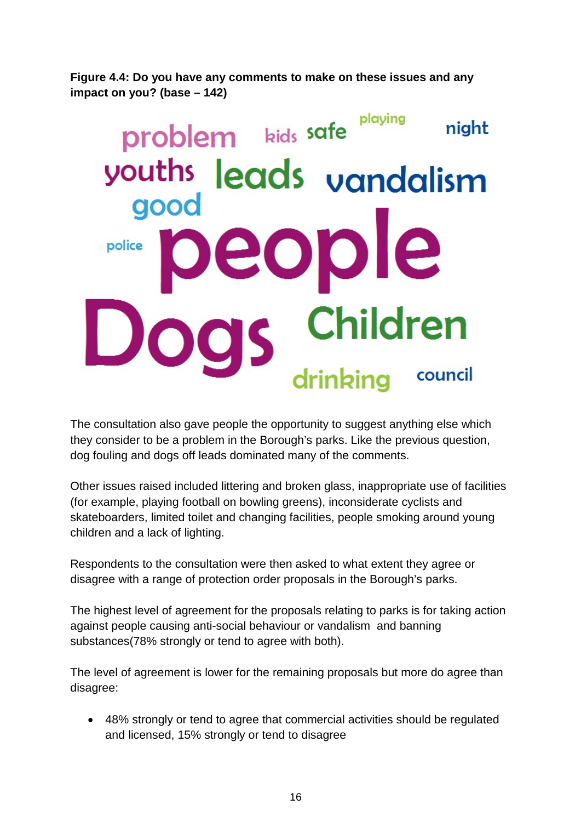**Figure 4.4: Do you have any comments to make on these issues and any impact on you? (base – 142)**

# playing problem kids safe night youths leads vandalism good ople police c Children drinking council

The consultation also gave people the opportunity to suggest anything else which they consider to be a problem in the Borough's parks. Like the previous question, dog fouling and dogs off leads dominated many of the comments.

Other issues raised included littering and broken glass, inappropriate use of facilities (for example, playing football on bowling greens), inconsiderate cyclists and skateboarders, limited toilet and changing facilities, people smoking around young children and a lack of lighting.

Respondents to the consultation were then asked to what extent they agree or disagree with a range of protection order proposals in the Borough's parks.

The highest level of agreement for the proposals relating to parks is for taking action against people causing anti-social behaviour or vandalism and banning substances(78% strongly or tend to agree with both).

The level of agreement is lower for the remaining proposals but more do agree than disagree:

• 48% strongly or tend to agree that commercial activities should be regulated and licensed, 15% strongly or tend to disagree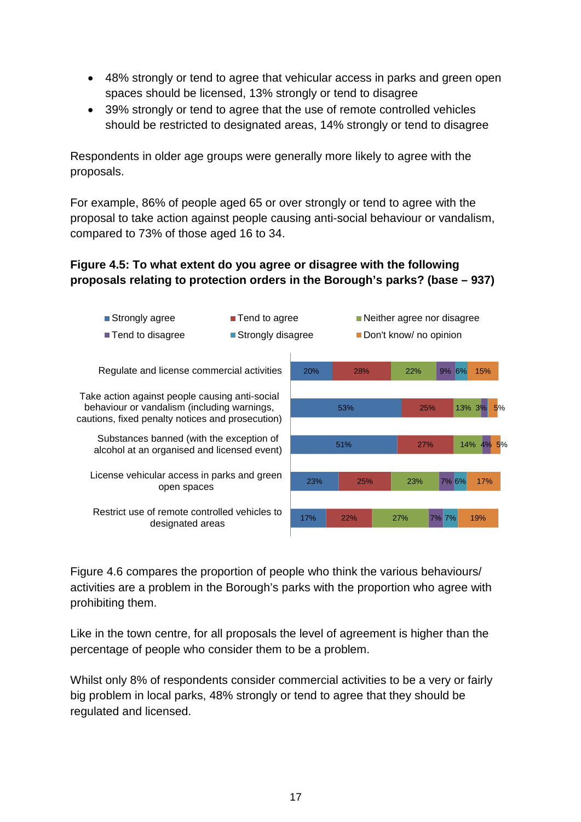- 48% strongly or tend to agree that vehicular access in parks and green open spaces should be licensed, 13% strongly or tend to disagree
- 39% strongly or tend to agree that the use of remote controlled vehicles should be restricted to designated areas, 14% strongly or tend to disagree

Respondents in older age groups were generally more likely to agree with the proposals.

For example, 86% of people aged 65 or over strongly or tend to agree with the proposal to take action against people causing anti-social behaviour or vandalism, compared to 73% of those aged 16 to 34.

#### **Figure 4.5: To what extent do you agree or disagree with the following proposals relating to protection orders in the Borough's parks? (base – 937)**



Figure 4.6 compares the proportion of people who think the various behaviours/ activities are a problem in the Borough's parks with the proportion who agree with prohibiting them.

Like in the town centre, for all proposals the level of agreement is higher than the percentage of people who consider them to be a problem.

Whilst only 8% of respondents consider commercial activities to be a very or fairly big problem in local parks, 48% strongly or tend to agree that they should be regulated and licensed.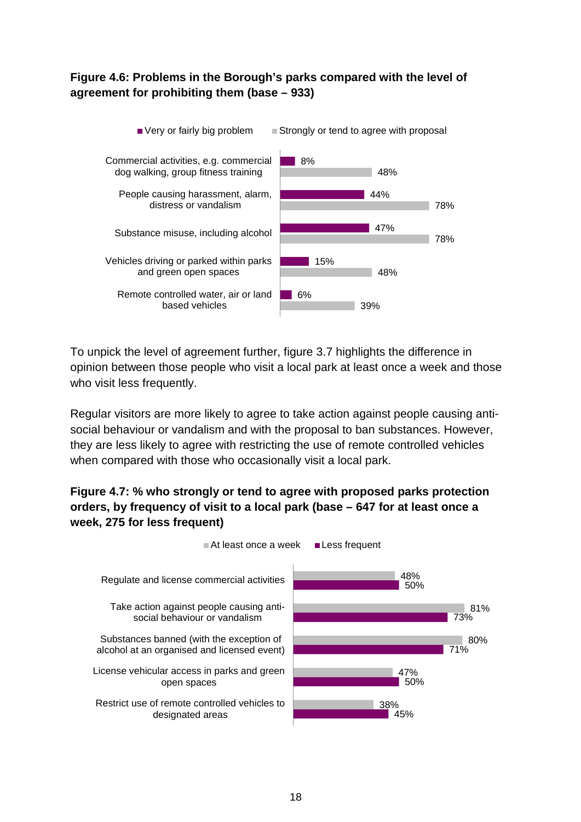#### **Figure 4.6: Problems in the Borough's parks compared with the level of agreement for prohibiting them (base – 933)**



To unpick the level of agreement further, figure 3.7 highlights the difference in opinion between those people who visit a local park at least once a week and those who visit less frequently.

Regular visitors are more likely to agree to take action against people causing antisocial behaviour or vandalism and with the proposal to ban substances. However, they are less likely to agree with restricting the use of remote controlled vehicles when compared with those who occasionally visit a local park.

#### **Figure 4.7: % who strongly or tend to agree with proposed parks protection orders, by frequency of visit to a local park (base – 647 for at least once a week, 275 for less frequent)**